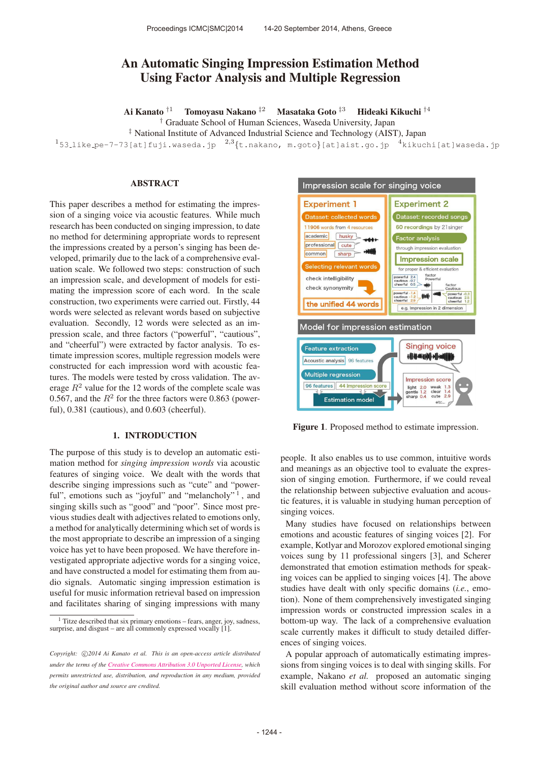# An Automatic Singing Impression Estimation Method Using Factor Analysis and Multiple Regression

Ai Kanato †<sup>1</sup> Tomoyasu Nakano ‡<sup>2</sup> Masataka Goto ‡<sup>3</sup> Hideaki Kikuchi †<sup>4</sup>

† Graduate School of Human Sciences, Waseda University, Japan

‡ National Institute of Advanced Industrial Science and Technology (AIST), Japan

<sup>1</sup>53\_like\_pe-7-73[at]fuji.waseda.jp  $^{2,3}\{t.\text{nakano}, \text{ m.goto}\}$ [at]aist.go.jp  $^{4}$ kikuchi[at]waseda.jp

## ABSTRACT

This paper describes a method for estimating the impression of a singing voice via acoustic features. While much research has been conducted on singing impression, to date no method for determining appropriate words to represent the impressions created by a person's singing has been developed, primarily due to the lack of a comprehensive evaluation scale. We followed two steps: construction of such an impression scale, and development of models for estimating the impression score of each word. In the scale construction, two experiments were carried out. Firstly, 44 words were selected as relevant words based on subjective evaluation. Secondly, 12 words were selected as an impression scale, and three factors ("powerful", "cautious", and "cheerful") were extracted by factor analysis. To estimate impression scores, multiple regression models were constructed for each impression word with acoustic features. The models were tested by cross validation. The average  $R^2$  value for the 12 words of the complete scale was 0.567, and the  $R^2$  for the three factors were 0.863 (powerful), 0.381 (cautious), and 0.603 (cheerful).

### 1. INTRODUCTION

The purpose of this study is to develop an automatic estimation method for *singing impression words* via acoustic features of singing voice. We dealt with the words that describe singing impressions such as "cute" and "powerful", emotions such as "joyful" and "melancholy"<sup>1</sup>, and singing skills such as "good" and "poor". Since most previous studies dealt with adjectives related to emotions only, a method for analytically determining which set of words is the most appropriate to describe an impression of a singing voice has yet to have been proposed. We have therefore investigated appropriate adjective words for a singing voice, and have constructed a model for estimating them from audio signals. Automatic singing impression estimation is useful for music information retrieval based on impression and facilitates sharing of singing impressions with many



Figure 1. Proposed method to estimate impression.

people. It also enables us to use common, intuitive words and meanings as an objective tool to evaluate the expression of singing emotion. Furthermore, if we could reveal the relationship between subjective evaluation and acoustic features, it is valuable in studying human perception of singing voices.

Many studies have focused on relationships between emotions and acoustic features of singing voices [2]. For example, Kotlyar and Morozov explored emotional singing voices sung by 11 professional singers [3], and Scherer demonstrated that emotion estimation methods for speaking voices can be applied to singing voices [4]. The above studies have dealt with only specific domains (*i.e.*, emotion). None of them comprehensively investigated singing impression words or constructed impression scales in a bottom-up way. The lack of a comprehensive evaluation scale currently makes it difficult to study detailed differences of singing voices.

A popular approach of automatically estimating impressions from singing voices is to deal with singing skills. For example, Nakano *et al.* proposed an automatic singing skill evaluation method without score information of the

<sup>1</sup> Titze described that six primary emotions – fears, anger, joy, sadness, surprise, and disgust – are all commonly expressed vocally  $[1]$ .

Copyright:  $\bigcirc$ 2014 Ai Kanato et al. This is an open-access article distributed *under the terms of the [Creative Commons Attribution 3.0 Unported License,](http://creativecommons.org/licenses/by/3.0/) which permits unrestricted use, distribution, and reproduction in any medium, provided the original author and source are credited.*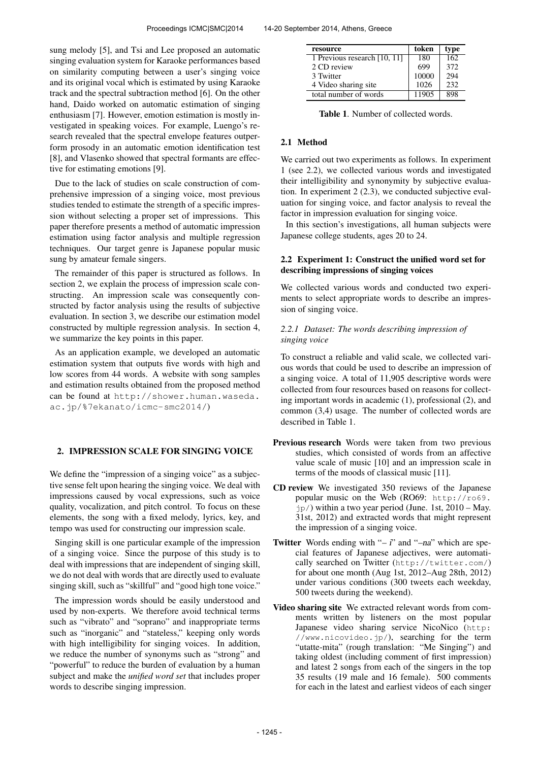sung melody [5], and Tsi and Lee proposed an automatic singing evaluation system for Karaoke performances based on similarity computing between a user's singing voice and its original vocal which is estimated by using Karaoke track and the spectral subtraction method [6]. On the other hand, Daido worked on automatic estimation of singing enthusiasm [7]. However, emotion estimation is mostly investigated in speaking voices. For example, Luengo's research revealed that the spectral envelope features outperform prosody in an automatic emotion identification test [8], and Vlasenko showed that spectral formants are effective for estimating emotions [9].

Due to the lack of studies on scale construction of comprehensive impression of a singing voice, most previous studies tended to estimate the strength of a specific impression without selecting a proper set of impressions. This paper therefore presents a method of automatic impression estimation using factor analysis and multiple regression techniques. Our target genre is Japanese popular music sung by amateur female singers.

The remainder of this paper is structured as follows. In section 2, we explain the process of impression scale constructing. An impression scale was consequently constructed by factor analysis using the results of subjective evaluation. In section 3, we describe our estimation model constructed by multiple regression analysis. In section 4, we summarize the key points in this paper.

As an application example, we developed an automatic estimation system that outputs five words with high and low scores from 44 words. A website with song samples and estimation results obtained from the proposed method can be found at [http://shower.human.waseda.](http://shower.human.waseda.ac.jp/%7ekanato/icmc-smc2014/) [ac.jp/%7ekanato/icmc-smc2014/](http://shower.human.waseda.ac.jp/%7ekanato/icmc-smc2014/))

## 2. IMPRESSION SCALE FOR SINGING VOICE

We define the "impression of a singing voice" as a subjective sense felt upon hearing the singing voice. We deal with impressions caused by vocal expressions, such as voice quality, vocalization, and pitch control. To focus on these elements, the song with a fixed melody, lyrics, key, and tempo was used for constructing our impression scale.

Singing skill is one particular example of the impression of a singing voice. Since the purpose of this study is to deal with impressions that are independent of singing skill, we do not deal with words that are directly used to evaluate singing skill, such as "skillful" and "good high tone voice."

The impression words should be easily understood and used by non-experts. We therefore avoid technical terms such as "vibrato" and "soprano" and inappropriate terms such as "inorganic" and "stateless," keeping only words with high intelligibility for singing voices. In addition, we reduce the number of synonyms such as "strong" and "powerful" to reduce the burden of evaluation by a human subject and make the *unified word set* that includes proper words to describe singing impression.

| resource                     | token | type             |
|------------------------------|-------|------------------|
| 1 Previous research [10, 11] | 180   | $\overline{162}$ |
| 2 CD review                  | 699   | 372              |
| 3 Twitter                    | 10000 | 294              |
| 4 Video sharing site         | 1026  | 232              |
| total number of words        | 11905 | 898              |

Table 1. Number of collected words.

## 2.1 Method

We carried out two experiments as follows. In experiment 1 (see 2.2), we collected various words and investigated their intelligibility and synonymity by subjective evaluation. In experiment 2 (2.3), we conducted subjective evaluation for singing voice, and factor analysis to reveal the factor in impression evaluation for singing voice.

In this section's investigations, all human subjects were Japanese college students, ages 20 to 24.

## 2.2 Experiment 1: Construct the unified word set for describing impressions of singing voices

We collected various words and conducted two experiments to select appropriate words to describe an impression of singing voice.

## *2.2.1 Dataset: The words describing impression of singing voice*

To construct a reliable and valid scale, we collected various words that could be used to describe an impression of a singing voice. A total of 11,905 descriptive words were collected from four resources based on reasons for collecting important words in academic (1), professional (2), and common (3,4) usage. The number of collected words are described in Table 1.

- Previous research Words were taken from two previous studies, which consisted of words from an affective value scale of music [10] and an impression scale in terms of the moods of classical music [11].
- CD review We investigated 350 reviews of the Japanese popular music on the Web (RO69: [http://ro69.](http://ro69.jp/)  $jp/$  $jp/$ ) within a two year period (June. 1st,  $2010 - May$ . 31st, 2012) and extracted words that might represent the impression of a singing voice.
- **Twitter** Words ending with " $-i$ " and " $-na$ " which are special features of Japanese adjectives, were automatically searched on Twitter (<http://twitter.com/>) for about one month (Aug 1st, 2012–Aug 28th, 2012) under various conditions (300 tweets each weekday, 500 tweets during the weekend).
- Video sharing site We extracted relevant words from comments written by listeners on the most popular Japanese video sharing service NicoNico ([http:](http://www.nicovideo.jp/) /[/www.nicovideo.jp/](http://www.nicovideo.jp/)), searching for the term "utatte-mita" (rough translation: "Me Singing") and taking oldest (including comment of first impression) and latest 2 songs from each of the singers in the top 35 results (19 male and 16 female). 500 comments for each in the latest and earliest videos of each singer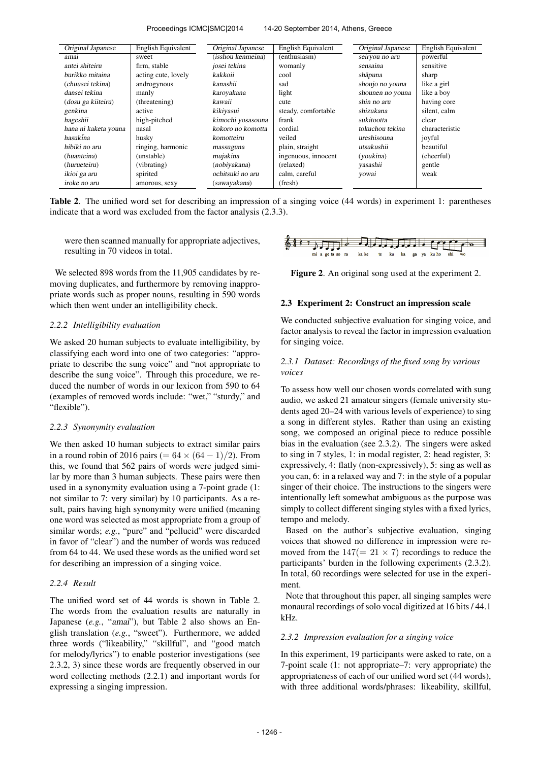#### Proceedings ICMC|SMC|2014 14-20 September 2014, Athens, Greece

| Original Japanese    | English Equivalent  | Original Japanese | English Equivalent  | Original Japanese | English Equivalent |
|----------------------|---------------------|-------------------|---------------------|-------------------|--------------------|
| amai                 | sweet               | (isshou kenmeina) | (enthusiasm)        | seiryou no aru    | powerful           |
| antei shiteiru       | firm, stable        | josei tekina      | womanly             | sensaina          | sensitive          |
| burikko mitaina      | acting cute, lovely | kakkoii           | cool                | shāpuna           | sharp              |
| (chuusei tekina)     | androgynous         | kanashii          | sad                 | shoujo no youna   | like a girl        |
| dansei tekina        | manly               | karoyakana        | light               | shounen no youna  | like a boy         |
| (dosu ga kiiteiru)   | (threatening)       | kawaii            | cute                | shin no aru       | having core        |
| genkina              | active              | kikiyasui         | steady, comfortable | shizukana         | silent, calm       |
| hageshii             | high-pitched        | kimochi yosasouna | frank               | sukitootta        | clear              |
| hana ni kaketa youna | nasal               | kokoro no komotta | cordial             | tokuchou tekina   | characteristic     |
| hasukina             | husky               | komotteiru        | veiled              | ureshisouna       | joyful             |
| hibiki no aru        | ringing, harmonic   | massuguna         | plain, straight     | utsukushii        | beautiful          |
| (huanteina)          | (unstable)          | mujakina          | ingenuous, innocent | (youkina)         | (cheerful)         |
| (hurueteiru)         | (vibrating)         | (nobiyakana)      | (relaxed)           | yasashii          | gentle             |
| ikioi ga aru         | spirited            | ochitsuki no aru  | calm, careful       | yowai             | weak               |
| iroke no aru         | amorous, sexy       | (sawayakana)      | (fresh)             |                   |                    |

Table 2. The unified word set for describing an impression of a singing voice (44 words) in experiment 1: parentheses indicate that a word was excluded from the factor analysis (2.3.3).

were then scanned manually for appropriate adjectives, resulting in 70 videos in total.

We selected 898 words from the 11,905 candidates by removing duplicates, and furthermore by removing inappropriate words such as proper nouns, resulting in 590 words which then went under an intelligibility check.

## *2.2.2 Intelligibility evaluation*

We asked 20 human subjects to evaluate intelligibility, by classifying each word into one of two categories: "appropriate to describe the sung voice" and "not appropriate to describe the sung voice". Through this procedure, we reduced the number of words in our lexicon from 590 to 64 (examples of removed words include: "wet," "sturdy," and "flexible").

#### *2.2.3 Synonymity evaluation*

We then asked 10 human subjects to extract similar pairs in a round robin of 2016 pairs (=  $64 \times (64 - 1)/2$ ). From this, we found that 562 pairs of words were judged similar by more than 3 human subjects. These pairs were then used in a synonymity evaluation using a 7-point grade (1: not similar to 7: very similar) by 10 participants. As a result, pairs having high synonymity were unified (meaning one word was selected as most appropriate from a group of similar words; *e.g.*, "pure" and "pellucid" were discarded in favor of "clear") and the number of words was reduced from 64 to 44. We used these words as the unified word set for describing an impression of a singing voice.

### *2.2.4 Result*

The unified word set of 44 words is shown in Table 2. The words from the evaluation results are naturally in Japanese (*e.g.*, "amai"), but Table 2 also shows an English translation (*e.g.*, "sweet"). Furthermore, we added three words ("likeability," "skillful", and "good match for melody/lyrics") to enable posterior investigations (see 2.3.2, 3) since these words are frequently observed in our word collecting methods (2.2.1) and important words for expressing a singing impression.



Figure 2. An original song used at the experiment 2.

### 2.3 Experiment 2: Construct an impression scale

We conducted subjective evaluation for singing voice, and factor analysis to reveal the factor in impression evaluation for singing voice.

## *2.3.1 Dataset: Recordings of the fixed song by various voices*

To assess how well our chosen words correlated with sung audio, we asked 21 amateur singers (female university students aged 20–24 with various levels of experience) to sing a song in different styles. Rather than using an existing song, we composed an original piece to reduce possible bias in the evaluation (see 2.3.2). The singers were asked to sing in 7 styles, 1: in modal register, 2: head register, 3: expressively, 4: flatly (non-expressively), 5: sing as well as you can, 6: in a relaxed way and 7: in the style of a popular singer of their choice. The instructions to the singers were intentionally left somewhat ambiguous as the purpose was simply to collect different singing styles with a fixed lyrics, tempo and melody.

Based on the author's subjective evaluation, singing voices that showed no difference in impression were removed from the  $147(= 21 \times 7)$  recordings to reduce the participants' burden in the following experiments (2.3.2). In total, 60 recordings were selected for use in the experiment.

Note that throughout this paper, all singing samples were monaural recordings of solo vocal digitized at 16 bits / 44.1 kHz.

#### *2.3.2 Impression evaluation for a singing voice*

In this experiment, 19 participants were asked to rate, on a 7-point scale (1: not appropriate–7: very appropriate) the appropriateness of each of our unified word set (44 words), with three additional words/phrases: likeability, skillful,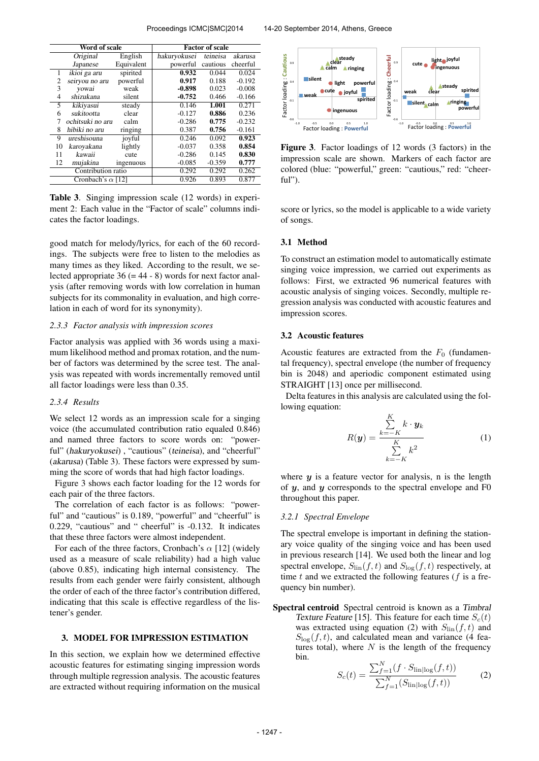| Word of scale            |                  |            | <b>Factor of scale</b> |          |          |  |  |
|--------------------------|------------------|------------|------------------------|----------|----------|--|--|
|                          | Original         | English    | hakuryokusei           | teineisa | akarusa  |  |  |
|                          | Japanese         | Equivalent | powerful               | cautious | cheerful |  |  |
| 1                        | ikioi ga aru     | spirited   | 0.932                  | 0.044    | 0.024    |  |  |
| 2                        | seiryou no aru   | powerful   | 0.917                  | 0.188    | $-0.192$ |  |  |
| 3                        | yowai            | weak       | $-0.898$               | 0.023    | $-0.008$ |  |  |
| 4                        | shizukana        | silent     | $-0.752$               | 0.466    | $-0.166$ |  |  |
| 5                        | kikiyasui        | steady     | 0.146                  | 1.001    | 0.271    |  |  |
| 6                        | sukitootta       | clear      | $-0.127$               | 0.886    | 0.236    |  |  |
| 7                        | ochitsuki no aru | calm       | $-0.286$               | 0.775    | $-0.232$ |  |  |
| 8                        | hibiki no aru    | ringing    | 0.387                  | 0.756    | $-0.161$ |  |  |
| 9                        | ureshisouna      | joyful     | 0.246                  | 0.092    | 0.923    |  |  |
| 10                       | karoyakana       | lightly    | $-0.037$               | 0.358    | 0.854    |  |  |
| 11                       | kawaii           | cute       | $-0.286$               | 0.145    | 0.830    |  |  |
| 12                       | mujakina         | ingenuous  | $-0.085$               | $-0.359$ | 0.777    |  |  |
| Contribution ratio       |                  |            | 0.292                  | 0.292    | 0.262    |  |  |
| Cronbach's $\alpha$ [12] |                  |            | 0.926                  | 0.893    | 0.877    |  |  |

Table 3. Singing impression scale (12 words) in experiment 2: Each value in the "Factor of scale" columns indicates the factor loadings.

good match for melody/lyrics, for each of the 60 recordings. The subjects were free to listen to the melodies as many times as they liked. According to the result, we selected appropriate  $36 (= 44 - 8)$  words for next factor analysis (after removing words with low correlation in human subjects for its commonality in evaluation, and high correlation in each of word for its synonymity).

### *2.3.3 Factor analysis with impression scores*

Factor analysis was applied with 36 words using a maximum likelihood method and promax rotation, and the number of factors was determined by the scree test. The analysis was repeated with words incrementally removed until all factor loadings were less than 0.35.

## *2.3.4 Results*

We select 12 words as an impression scale for a singing voice (the accumulated contribution ratio equaled 0.846) and named three factors to score words on: "powerful" (hakuryokusei), "cautious" (teineisa), and "cheerful" (akarusa) (Table 3). These factors were expressed by summing the score of words that had high factor loadings.

Figure 3 shows each factor loading for the 12 words for each pair of the three factors.

The correlation of each factor is as follows: "powerful" and "cautious" is 0.189, "powerful" and "cheerful" is 0.229, "cautious" and " cheerful" is -0.132. It indicates that these three factors were almost independent.

For each of the three factors, Cronbach's  $\alpha$  [12] (widely used as a measure of scale reliability) had a high value (above 0.85), indicating high internal consistency. The results from each gender were fairly consistent, although the order of each of the three factor's contribution differed, indicating that this scale is effective regardless of the listener's gender.

## 3. MODEL FOR IMPRESSION ESTIMATION

In this section, we explain how we determined effective acoustic features for estimating singing impression words through multiple regression analysis. The acoustic features are extracted without requiring information on the musical



Figure 3. Factor loadings of 12 words (3 factors) in the impression scale are shown. Markers of each factor are colored (blue: "powerful," green: "cautious," red: "cheerful").

score or lyrics, so the model is applicable to a wide variety of songs.

## 3.1 Method

To construct an estimation model to automatically estimate singing voice impression, we carried out experiments as follows: First, we extracted 96 numerical features with acoustic analysis of singing voices. Secondly, multiple regression analysis was conducted with acoustic features and impression scores.

## 3.2 Acoustic features

Acoustic features are extracted from the  $F_0$  (fundamental frequency), spectral envelope (the number of frequency bin is 2048) and aperiodic component estimated using STRAIGHT [13] once per millisecond.

Delta features in this analysis are calculated using the following equation:  $\overline{V}$ 

$$
R(\mathbf{y}) = \frac{\sum_{k=-K}^{K} k \cdot \mathbf{y}_k}{\sum_{k=-K}^{K} k^2}
$$
 (1)

where  $y$  is a feature vector for analysis, n is the length of  $y$ , and  $y$  corresponds to the spectral envelope and  $F0$ throughout this paper.

#### *3.2.1 Spectral Envelope*

The spectral envelope is important in defining the stationary voice quality of the singing voice and has been used in previous research [14]. We used both the linear and log spectral envelope,  $S_{lin}(f, t)$  and  $S_{log}(f, t)$  respectively, at time  $t$  and we extracted the following features ( $f$  is a frequency bin number).

Spectral centroid Spectral centroid is known as a Timbral Texture Feature [15]. This feature for each time  $S_c(t)$ was extracted using equation (2) with  $S_{lin}(f, t)$  and  $S_{\text{log}}(f, t)$ , and calculated mean and variance (4 features total), where  $N$  is the length of the frequency bin.

$$
S_c(t) = \frac{\sum_{f=1}^{N} (f \cdot S_{\text{lin}}|_{\text{log}}(f, t))}{\sum_{f=1}^{N} (S_{\text{lin}}|_{\text{log}}(f, t))}
$$
(2)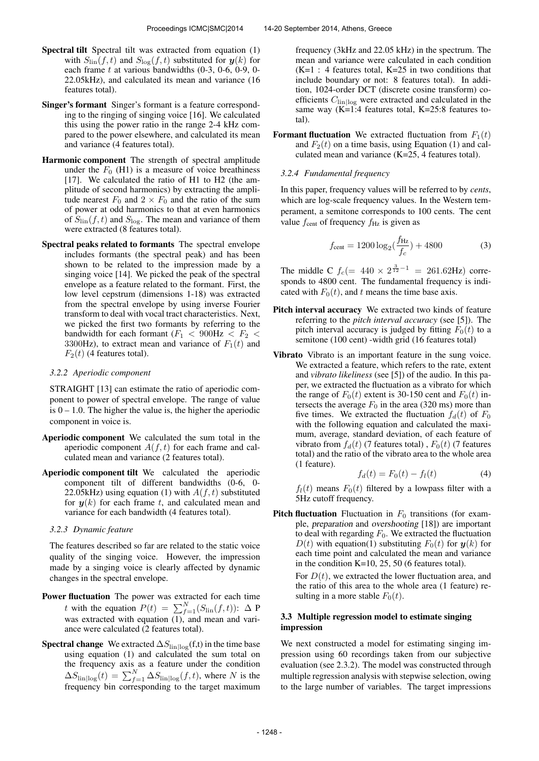- Singer's formant Singer's formant is a feature corresponding to the ringing of singing voice [16]. We calculated this using the power ratio in the range 2-4 kHz compared to the power elsewhere, and calculated its mean and variance (4 features total).
- Harmonic component The strength of spectral amplitude under the  $F_0$  (H1) is a measure of voice breathiness [17]. We calculated the ratio of H1 to H2 (the amplitude of second harmonics) by extracting the amplitude nearest  $F_0$  and  $2 \times F_0$  and the ratio of the sum of power at odd harmonics to that at even harmonics of  $S_{lin}(f, t)$  and  $S_{log}$ . The mean and variance of them were extracted (8 features total).
- Spectral peaks related to formants The spectral envelope includes formants (the spectral peak) and has been shown to be related to the impression made by a singing voice [14]. We picked the peak of the spectral envelope as a feature related to the formant. First, the low level cepstrum (dimensions 1-18) was extracted from the spectral envelope by using inverse Fourier transform to deal with vocal tract characteristics. Next, we picked the first two formants by referring to the bandwidth for each formant  $(F_1 < 900 \text{ Hz} < F_2 <$ 3300Hz), to extract mean and variance of  $F_1(t)$  and  $F_2(t)$  (4 features total).

## *3.2.2 Aperiodic component*

STRAIGHT [13] can estimate the ratio of aperiodic component to power of spectral envelope. The range of value is  $0 - 1.0$ . The higher the value is, the higher the aperiodic component in voice is.

- Aperiodic component We calculated the sum total in the aperiodic component  $A(f, t)$  for each frame and calculated mean and variance (2 features total).
- Aperiodic component tilt We calculated the aperiodic component tilt of different bandwidths (0-6, 0- 22.05kHz) using equation (1) with  $A(f, t)$  substituted for  $y(k)$  for each frame t, and calculated mean and variance for each bandwidth (4 features total).

## *3.2.3 Dynamic feature*

The features described so far are related to the static voice quality of the singing voice. However, the impression made by a singing voice is clearly affected by dynamic changes in the spectral envelope.

- Power fluctuation The power was extracted for each time t with the equation  $P(t) = \sum_{f=1}^{N} (S_{\text{lin}}(f, t))$ :  $\Delta$  P was extracted with equation (1), and mean and variance were calculated (2 features total).
- **Spectral change** We extracted  $\Delta S_{lin|log}(f,t)$  in the time base using equation (1) and calculated the sum total on the frequency axis as a feature under the condition  $\Delta S_{\text{lin}|\text{log}}(t) = \sum_{f=1}^{N} \Delta S_{\text{lin}|\text{log}}(f, t)$ , where N is the frequency bin corresponding to the target maximum

frequency (3kHz and 22.05 kHz) in the spectrum. The mean and variance were calculated in each condition  $(K=1 : 4$  features total,  $K=25$  in two conditions that include boundary or not: 8 features total). In addition, 1024-order DCT (discrete cosine transform) coefficients  $C_{lin|log}$  were extracted and calculated in the same way  $(K=1:4$  features total, K=25:8 features total).

**Formant fluctuation** We extracted fluctuation from  $F_1(t)$ and  $F_2(t)$  on a time basis, using Equation (1) and calculated mean and variance (K=25, 4 features total).

## *3.2.4 Fundamental frequency*

In this paper, frequency values will be referred to by *cents*, which are log-scale frequency values. In the Western temperament, a semitone corresponds to 100 cents. The cent value  $f_{\text{cent}}$  of frequency  $f_{\text{Hz}}$  is given as

$$
f_{\text{cent}} = 1200 \log_2(\frac{f_{\text{Hz}}}{f_c}) + 4800\tag{3}
$$

The middle C  $f_c (= 440 \times 2^{\frac{3}{12}-1} = 261.62 \text{Hz})$  corresponds to 4800 cent. The fundamental frequency is indicated with  $F_0(t)$ , and t means the time base axis.

- Pitch interval accuracy We extracted two kinds of feature referring to the *pitch interval accuracy* (see [5]). The pitch interval accuracy is judged by fitting  $F_0(t)$  to a semitone (100 cent) -width grid (16 features total)
- Vibrato Vibrato is an important feature in the sung voice. We extracted a feature, which refers to the rate, extent and *vibrato likeliness* (see [5]) of the audio. In this paper, we extracted the fluctuation as a vibrato for which the range of  $F_0(t)$  extent is 30-150 cent and  $F_0(t)$  intersects the average  $F_0$  in the area (320 ms) more than five times. We extracted the fluctuation  $f_d(t)$  of  $F_0$ with the following equation and calculated the maximum, average, standard deviation, of each feature of vibrato from  $f_d(t)$  (7 features total),  $F_0(t)$  (7 features total) and the ratio of the vibrato area to the whole area (1 feature).

$$
f_d(t) = F_0(t) - f_l(t)
$$
 (4)

 $f_l(t)$  means  $F_0(t)$  filtered by a lowpass filter with a 5Hz cutoff frequency.

**Pitch fluctuation** Fluctuation in  $F_0$  transitions (for example, preparation and overshooting [18]) are important to deal with regarding  $F_0$ . We extracted the fluctuation  $D(t)$  with equation(1) substituting  $F_0(t)$  for  $y(k)$  for each time point and calculated the mean and variance in the condition K=10, 25, 50 (6 features total).

For  $D(t)$ , we extracted the lower fluctuation area, and the ratio of this area to the whole area (1 feature) resulting in a more stable  $F_0(t)$ .

## 3.3 Multiple regression model to estimate singing impression

We next constructed a model for estimating singing impression using 60 recordings taken from our subjective evaluation (see 2.3.2). The model was constructed through multiple regression analysis with stepwise selection, owing to the large number of variables. The target impressions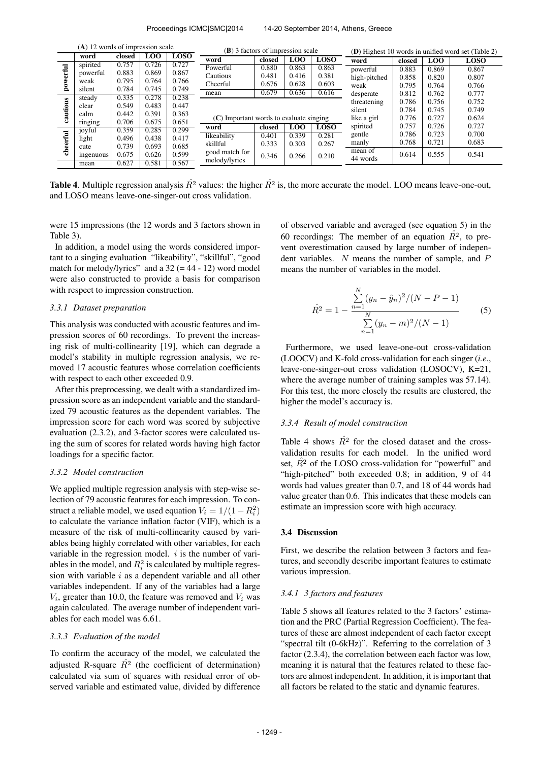| $(A)$ 12 words of impression scale |                | <b>(B)</b> 3 factors of impression scale |                |                | <b>(D)</b> Highest 10 words in unified word set (Table 2) |        |            |             |                     |        |                |             |
|------------------------------------|----------------|------------------------------------------|----------------|----------------|-----------------------------------------------------------|--------|------------|-------------|---------------------|--------|----------------|-------------|
|                                    | word           | closed                                   | L <sub>0</sub> | <b>LOSO</b>    | word                                                      | closed | <b>LOO</b> | LOSO        | word                | closed | L <sub>0</sub> | <b>LOSO</b> |
| $\overline{d}$                     | spirited       | 0.757                                    | 0.726          | 0.727          | Powerful                                                  | 0.880  | 0.863      | 0.863       | powerful            | 0.883  | 0.869          | 0.867       |
|                                    | powerful       | 0.883                                    | 0.869          | 0.867          | Cautious                                                  | 0.481  | 0.416      | 0.381       | high-pitched        | 0.858  | 0.820          | 0.807       |
| 8                                  | weak<br>silent | 0.795<br>0.784                           | 0.764<br>0.745 | 0.766<br>0.749 | Cheerful                                                  | 0.676  | 0.628      | 0.603       | weak                | 0.795  | 0.764          | 0.766       |
|                                    | steady         | 0.335                                    | 0.278          | 0.238          | mean                                                      | 0.679  | 0.636      | 0.616       | desperate           | 0.812  | 0.762          | 0.777       |
| Ľ                                  | clear          | 0.549                                    | 0.483          | 0.447          |                                                           |        |            |             |                     | 0.786  | 0.756          | 0.752       |
| utio                               | calm           | 0.442                                    | 0.391          | 0.363          |                                                           |        |            | silent      | 0.784               | 0.745  | 0.749          |             |
|                                    | ringing        | 0.706                                    | 0.675          | 0.651          | $(C)$ Important words to evaluate singing                 |        |            | like a girl | 0.776               | 0.727  | 0.624          |             |
|                                    | joyful         | 0.359                                    | 0.285          | 0.299          | word                                                      | closed | LOO        | <b>LOSO</b> | spirited            | 0.757  | 0.726          | 0.727       |
| $\overline{t}$                     | light          | 0.496                                    | 0.438          | 0.417          | likeability                                               | 0.401  | 0.339      | 0.281       | gentle              | 0.786  | 0.723          | 0.700       |
|                                    | cute           | 0.739                                    | 0.693          | 0.685          | skillful                                                  | 0.333  | 0.303      | 0.267       | manly               | 0.768  | 0.721          | 0.683       |
| 흉                                  | ingenuous      | 0.675                                    | 0.626          | 0.599          | good match for                                            | 0.346  | 0.266      | 0.210       | mean of<br>44 words | 0.614  | 0.555          | 0.541       |
|                                    | mean           | 0.627                                    | 0.581          | 0.567          | melody/lyrics                                             |        |            |             |                     |        |                |             |

**Table 4.** Multiple regression analysis  $\hat{R}^2$  values: the higher  $\hat{R}^2$  is, the more accurate the model. LOO means leave-one-out, and LOSO means leave-one-singer-out cross validation.

were 15 impressions (the 12 words and 3 factors shown in Table 3).

In addition, a model using the words considered important to a singing evaluation "likeability", "skillful", "good match for melody/lyrics" and a  $32 (=44 - 12)$  word model were also constructed to provide a basis for comparison with respect to impression construction.

#### *3.3.1 Dataset preparation*

This analysis was conducted with acoustic features and impression scores of 60 recordings. To prevent the increasing risk of multi-collinearity [19], which can degrade a model's stability in multiple regression analysis, we removed 17 acoustic features whose correlation coefficients with respect to each other exceeded 0.9.

After this preprocessing, we dealt with a standardized impression score as an independent variable and the standardized 79 acoustic features as the dependent variables. The impression score for each word was scored by subjective evaluation (2.3.2), and 3-factor scores were calculated using the sum of scores for related words having high factor loadings for a specific factor.

## *3.3.2 Model construction*

We applied multiple regression analysis with step-wise selection of 79 acoustic features for each impression. To construct a reliable model, we used equation  $\tilde{V}_i = 1/(1 - R_i^2)$ to calculate the variance inflation factor (VIF), which is a measure of the risk of multi-collinearity caused by variables being highly correlated with other variables, for each variable in the regression model.  $i$  is the number of variables in the model, and  $R_i^2$  is calculated by multiple regression with variable  $i$  as a dependent variable and all other variables independent. If any of the variables had a large  $V_i$ , greater than 10.0, the feature was removed and  $V_i$  was again calculated. The average number of independent variables for each model was 6.61.

## *3.3.3 Evaluation of the model*

To confirm the accuracy of the model, we calculated the adjusted R-square  $\hat{R}^2$  (the coefficient of determination) calculated via sum of squares with residual error of observed variable and estimated value, divided by difference of observed variable and averaged (see equation 5) in the 60 recordings: The member of an equation  $R^2$ , to prevent overestimation caused by large number of independent variables. N means the number of sample, and P means the number of variables in the model.

$$
\hat{R}^{2} = 1 - \frac{\sum_{n=1}^{N} (y_{n} - \hat{y}_{n})^{2} / (N - P - 1)}{\sum_{n=1}^{N} (y_{n} - m)^{2} / (N - 1)}
$$
(5)

Furthermore, we used leave-one-out cross-validation (LOOCV) and K-fold cross-validation for each singer (*i.e.*, leave-one-singer-out cross validation (LOSOCV), K=21, where the average number of training samples was 57.14). For this test, the more closely the results are clustered, the higher the model's accuracy is.

## *3.3.4 Result of model construction*

Table 4 shows  $\hat{R}^2$  for the closed dataset and the crossvalidation results for each model. In the unified word set,  $\hat{R}^2$  of the LOSO cross-validation for "powerful" and "high-pitched" both exceeded 0.8; in addition, 9 of 44 words had values greater than 0.7, and 18 of 44 words had value greater than 0.6. This indicates that these models can estimate an impression score with high accuracy.

### 3.4 Discussion

First, we describe the relation between 3 factors and features, and secondly describe important features to estimate various impression.

### *3.4.1 3 factors and features*

Table 5 shows all features related to the 3 factors' estimation and the PRC (Partial Regression Coefficient). The features of these are almost independent of each factor except "spectral tilt (0-6kHz)". Referring to the correlation of 3 factor (2.3.4), the correlation between each factor was low, meaning it is natural that the features related to these factors are almost independent. In addition, it is important that all factors be related to the static and dynamic features.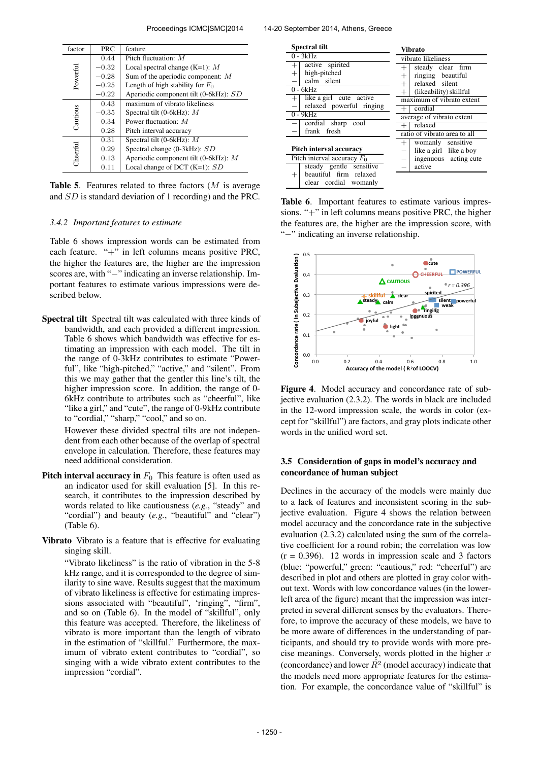| factor   | <b>PRC</b> | feature                                |
|----------|------------|----------------------------------------|
|          | 0.44       | Pitch fluctuation: $M$                 |
|          | $-0.32$    | Local spectral change $(K=1)$ : M      |
|          | $-0.28$    | Sum of the aperiodic component: $M$    |
| Powerful | $-0.25$    | Length of high stability for $F_0$     |
|          | $-0.22$    | Aperiodic component tilt (0-6kHz): SD  |
|          | 0.43       | maximum of vibrato likeliness          |
|          | $-0.35$    | Spectral tilt (0-6kHz): $M$            |
| Cautious | 0.34       | Power fluctuation: $M$                 |
|          | 0.28       | Pitch interval accuracy                |
|          | 0.31       | Spectral tilt (0-6kHz): $M$            |
|          | 0.29       | Spectral change (0-3kHz): SD           |
| Cheerful | 0.13       | Aperiodic component tilt (0-6kHz): $M$ |
|          | 0.11       | Local change of DCT $(K=1)$ : SD       |

**Table 5.** Features related to three factors  $(M \text{ is average})$ and SD is standard deviation of 1 recording) and the PRC.

### *3.4.2 Important features to estimate*

Table 6 shows impression words can be estimated from each feature. "+" in left columns means positive PRC, the higher the features are, the higher are the impression scores are, with "−" indicating an inverse relationship. Important features to estimate various impressions were described below.

Spectral tilt Spectral tilt was calculated with three kinds of bandwidth, and each provided a different impression. Table 6 shows which bandwidth was effective for estimating an impression with each model. The tilt in the range of 0-3kHz contributes to estimate "Powerful", like "high-pitched," "active," and "silent". From this we may gather that the gentler this line's tilt, the higher impression score. In addition, the range of 0-6kHz contribute to attributes such as "cheerful", like "like a girl," and "cute", the range of 0-9kHz contribute to "cordial," "sharp," "cool," and so on.

> However these divided spectral tilts are not independent from each other because of the overlap of spectral envelope in calculation. Therefore, these features may need additional consideration.

- **Pitch interval accuracy in**  $F_0$  This feature is often used as an indicator used for skill evaluation [5]. In this research, it contributes to the impression described by words related to like cautiousness (*e.g.*, "steady" and "cordial") and beauty (e.g., "beautiful" and "clear") (Table 6).
- Vibrato Vibrato is a feature that is effective for evaluating singing skill.

"Vibrato likeliness" is the ratio of vibration in the 5-8 kHz range, and it is corresponded to the degree of similarity to sine wave. Results suggest that the maximum of vibrato likeliness is effective for estimating impressions associated with "beautiful", 'ringing", "firm", and so on (Table 6). In the model of "skillful", only this feature was accepted. Therefore, the likeliness of vibrato is more important than the length of vibrato in the estimation of "skillful." Furthermore, the maximum of vibrato extent contributes to "cordial", so singing with a wide vibrato extent contributes to the impression "cordial".

| <b>Spectral tilt</b>                                                                                                | <b>Vibrato</b>                                                                                                                                                      |  |  |  |  |
|---------------------------------------------------------------------------------------------------------------------|---------------------------------------------------------------------------------------------------------------------------------------------------------------------|--|--|--|--|
| $0 - 3kHz$                                                                                                          | vibrato likeliness                                                                                                                                                  |  |  |  |  |
| active spirited<br>$^{+}$<br>high-pitched<br>$^{+}$<br>calm silent<br>$0 - 6kHz$<br>like a girl cute active<br>$^+$ | steady clear firm<br>$^{+}$<br>ringing beautiful<br>$\hspace{0.1mm} +$<br>relaxed silent<br>$^{+}$<br>(likeability) skillful<br>$^{+}$<br>maximum of vibrato extent |  |  |  |  |
| relaxed powerful ringing<br>$0 - 9kHz$                                                                              | cordial<br>$+$ <sup>1</sup><br>average of vibrato extent                                                                                                            |  |  |  |  |
| cordial sharp<br>cool<br>frank fresh                                                                                | relaxed<br>$+$<br>ratio of vibrato area to all                                                                                                                      |  |  |  |  |
| Pitch interval accuracy                                                                                             | womanly sensitive<br>$^+$<br>like a girl like a boy<br>$\overline{\phantom{0}}$                                                                                     |  |  |  |  |
| Pitch interval accuracy $F_0$                                                                                       | ingenuous acting cute                                                                                                                                               |  |  |  |  |
| steady gentle sensitive<br>beautiful firm relaxed<br>clear cordial womanly                                          | active                                                                                                                                                              |  |  |  |  |

Table 6. Important features to estimate various impressions. "+" in left columns means positive PRC, the higher the features are, the higher are the impression score, with "−" indicating an inverse relationship.



Figure 4. Model accuracy and concordance rate of subjective evaluation (2.3.2). The words in black are included in the 12-word impression scale, the words in color (except for "skillful") are factors, and gray plots indicate other words in the unified word set.

## 3.5 Consideration of gaps in model's accuracy and concordance of human subject

Declines in the accuracy of the models were mainly due to a lack of features and inconsistent scoring in the subjective evaluation. Figure 4 shows the relation between model accuracy and the concordance rate in the subjective evaluation (2.3.2) calculated using the sum of the correlative coefficient for a round robin; the correlation was low  $(r = 0.396)$ . 12 words in impression scale and 3 factors (blue: "powerful," green: "cautious," red: "cheerful") are described in plot and others are plotted in gray color without text. Words with low concordance values (in the lowerleft area of the figure) meant that the impression was interpreted in several different senses by the evaluators. Therefore, to improve the accuracy of these models, we have to be more aware of differences in the understanding of participants, and should try to provide words with more precise meanings. Conversely, words plotted in the higher  $x$ (concordance) and lower  $\hat{R}^2$  (model accuracy) indicate that the models need more appropriate features for the estimation. For example, the concordance value of "skillful" is